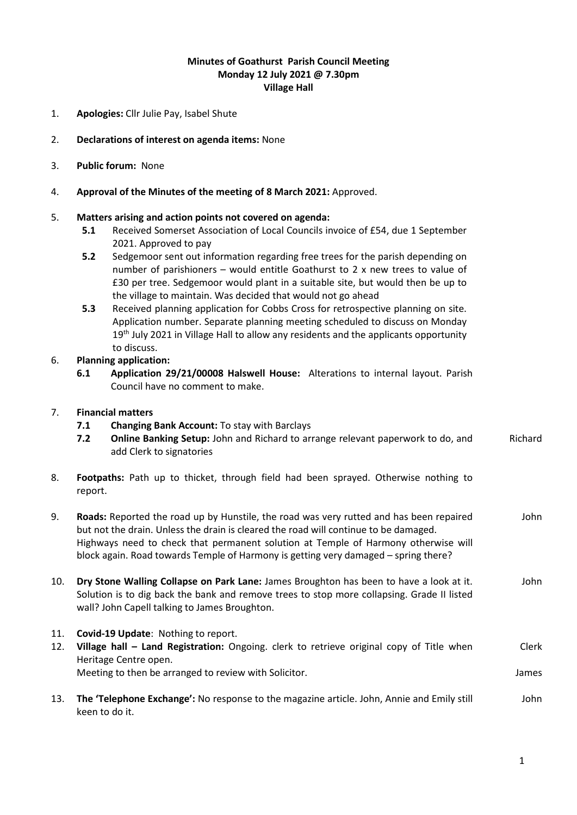## **Minutes of Goathurst Parish Council Meeting Monday 12 July 2021 @ 7.30pm Village Hall**

- 1. **Apologies:** Cllr Julie Pay, Isabel Shute
- 2. **Declarations of interest on agenda items:** None
- 3. **Public forum:** None
- 4. **Approval of the Minutes of the meeting of 8 March 2021:** Approved.

## 5. **Matters arising and action points not covered on agenda:**

- **5.1** Received Somerset Association of Local Councils invoice of £54, due 1 September 2021. Approved to pay
- **5.2** Sedgemoor sent out information regarding free trees for the parish depending on number of parishioners – would entitle Goathurst to 2 x new trees to value of £30 per tree. Sedgemoor would plant in a suitable site, but would then be up to the village to maintain. Was decided that would not go ahead
- **5.3** Received planning application for Cobbs Cross for retrospective planning on site. Application number. Separate planning meeting scheduled to discuss on Monday 19<sup>th</sup> July 2021 in Village Hall to allow any residents and the applicants opportunity to discuss.

## 6. **Planning application:**

**6.1 Application 29/21/00008 Halswell House:** Alterations to internal layout. Parish Council have no comment to make.

## 7. **Financial matters**

- **7.1 Changing Bank Account:** To stay with Barclays
- **7.2 Online Banking Setup:** John and Richard to arrange relevant paperwork to do, and add Clerk to signatories Richard
- 8. **Footpaths:** Path up to thicket, through field had been sprayed. Otherwise nothing to report.
- 9. **Roads:** Reported the road up by Hunstile, the road was very rutted and has been repaired but not the drain. Unless the drain is cleared the road will continue to be damaged. Highways need to check that permanent solution at Temple of Harmony otherwise will block again. Road towards Temple of Harmony is getting very damaged – spring there? John
- 10. **Dry Stone Walling Collapse on Park Lane:** James Broughton has been to have a look at it. Solution is to dig back the bank and remove trees to stop more collapsing. Grade II listed wall? John Capell talking to James Broughton. John
- 11. **Covid-19 Update**: Nothing to report.
- 12. **Village hall – Land Registration:** Ongoing. clerk to retrieve original copy of Title when Heritage Centre open. Meeting to then be arranged to review with Solicitor. Clerk James
- 13. **The 'Telephone Exchange':** No response to the magazine article. John, Annie and Emily still keen to do it. John